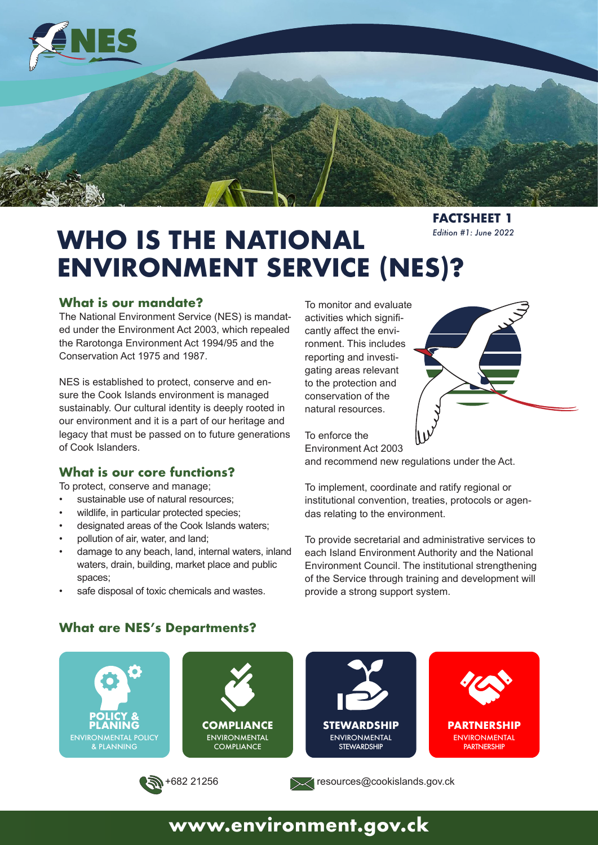

**FACTSHEET 1** *Edition #1: June 2022*

# **WHO IS THE NATIONAL ENVIRONMENT SERVICE (NES)?**

#### **What is our mandate?**

The National Environment Service (NES) is mandated under the Environment Act 2003, which repealed the Rarotonga Environment Act 1994/95 and the Conservation Act 1975 and 1987.

NES is established to protect, conserve and ensure the Cook Islands environment is managed sustainably. Our cultural identity is deeply rooted in our environment and it is a part of our heritage and legacy that must be passed on to future generations of Cook Islanders.

### **What is our core functions?**

To protect, conserve and manage;

- sustainable use of natural resources;
- wildlife, in particular protected species;
- designated areas of the Cook Islands waters;
- pollution of air, water, and land;
- damage to any beach, land, internal waters, inland waters, drain, building, market place and public spaces;
- safe disposal of toxic chemicals and wastes.

To monitor and evaluate activities which significantly affect the environment. This includes reporting and investigating areas relevant to the protection and conservation of the natural resources.

To enforce the Environment Act 2003

and recommend new regulations under the Act.

To implement, coordinate and ratify regional or institutional convention, treaties, protocols or agendas relating to the environment.

To provide secretarial and administrative services to each Island Environment Authority and the National Environment Council. The institutional strengthening of the Service through training and development will provide a strong support system.



### **What are NES's Departments?**

## **www.environment.gov.ck**